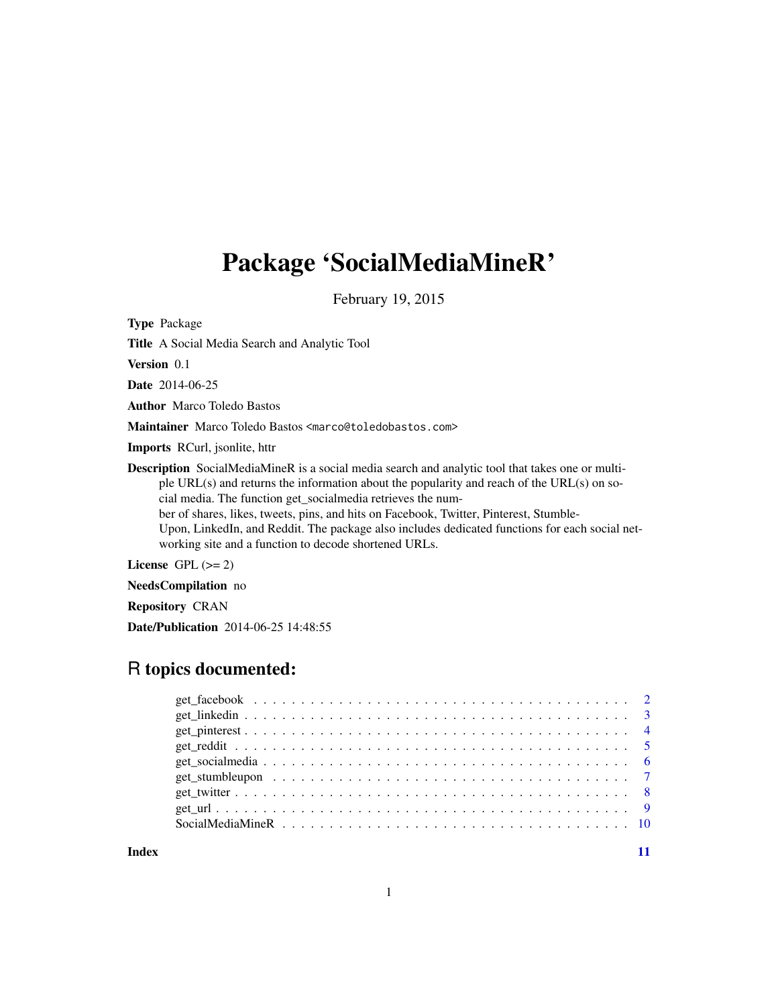# Package 'SocialMediaMineR'

February 19, 2015

Type Package

Title A Social Media Search and Analytic Tool

Version 0.1

Date 2014-06-25

Author Marco Toledo Bastos

Maintainer Marco Toledo Bastos <marco@toledobastos.com>

Imports RCurl, jsonlite, httr

Description SocialMediaMineR is a social media search and analytic tool that takes one or multiple URL(s) and returns the information about the popularity and reach of the URL(s) on social media. The function get\_socialmedia retrieves the number of shares, likes, tweets, pins, and hits on Facebook, Twitter, Pinterest, Stumble-Upon, LinkedIn, and Reddit. The package also includes dedicated functions for each social networking site and a function to decode shortened URLs.

License GPL  $(>= 2)$ 

NeedsCompilation no

Repository CRAN

Date/Publication 2014-06-25 14:48:55

# R topics documented:

**Index** [11](#page-10-0)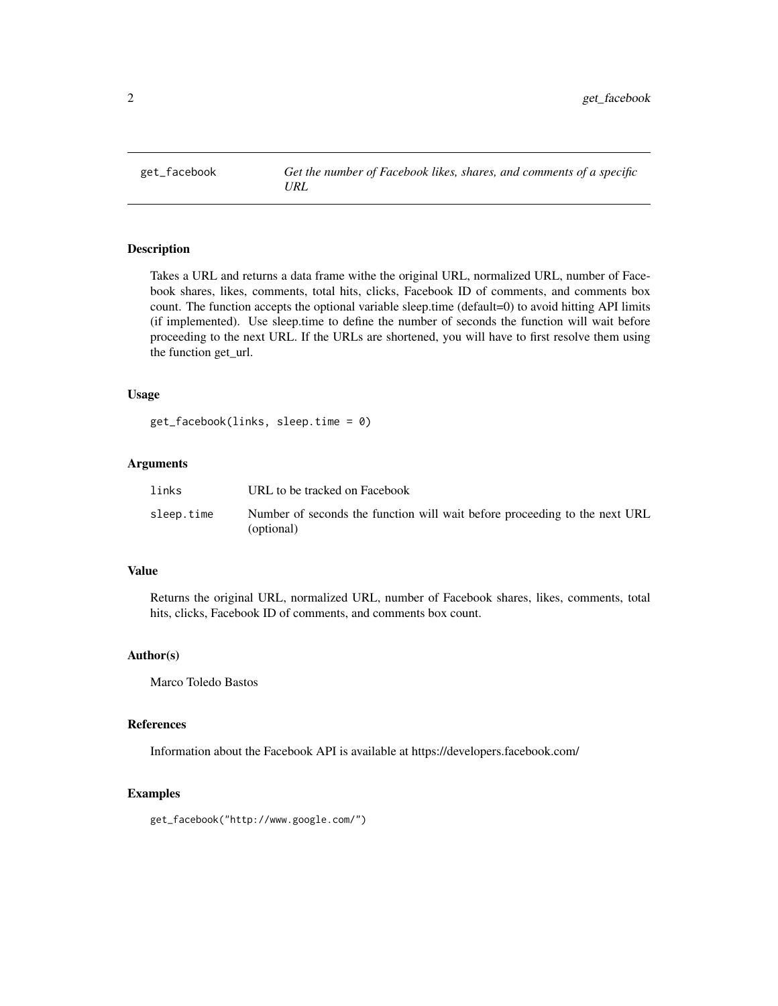<span id="page-1-0"></span>

Takes a URL and returns a data frame withe the original URL, normalized URL, number of Facebook shares, likes, comments, total hits, clicks, Facebook ID of comments, and comments box count. The function accepts the optional variable sleep.time (default=0) to avoid hitting API limits (if implemented). Use sleep.time to define the number of seconds the function will wait before proceeding to the next URL. If the URLs are shortened, you will have to first resolve them using the function get\_url.

#### Usage

```
get_facebook(links, sleep.time = 0)
```
# Arguments

| links      | URL to be tracked on Facebook                                                            |
|------------|------------------------------------------------------------------------------------------|
| sleep.time | Number of seconds the function will wait before proceeding to the next URL<br>(optional) |

# Value

Returns the original URL, normalized URL, number of Facebook shares, likes, comments, total hits, clicks, Facebook ID of comments, and comments box count.

#### Author(s)

Marco Toledo Bastos

#### References

Information about the Facebook API is available at https://developers.facebook.com/

#### Examples

get\_facebook("http://www.google.com/")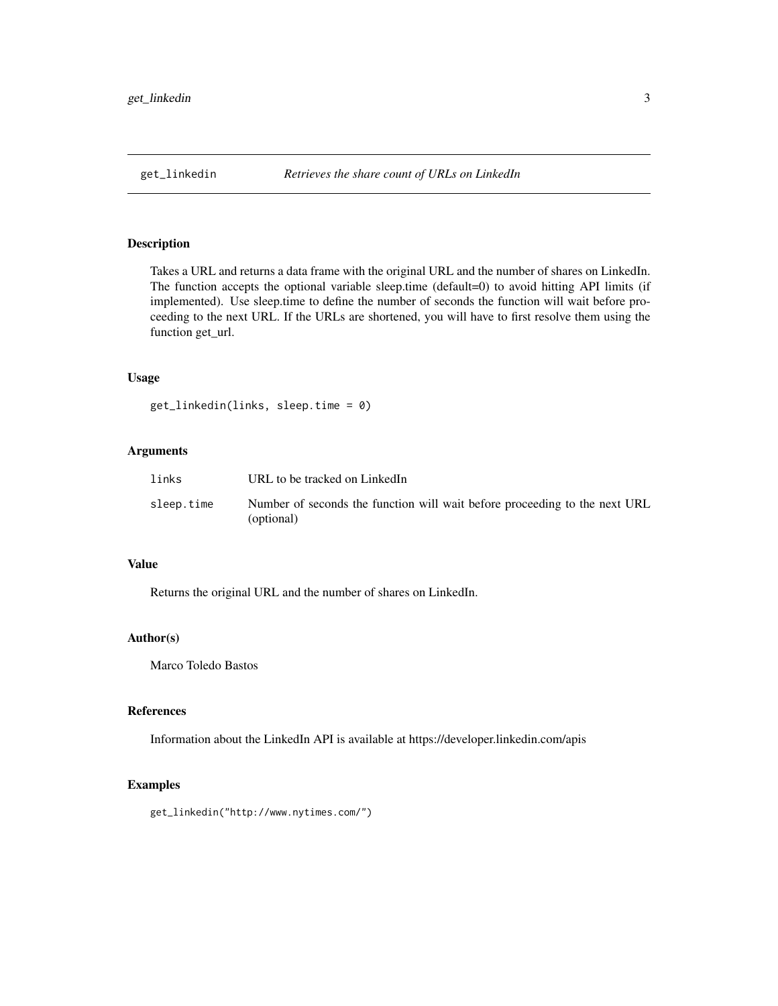<span id="page-2-0"></span>

Takes a URL and returns a data frame with the original URL and the number of shares on LinkedIn. The function accepts the optional variable sleep.time (default=0) to avoid hitting API limits (if implemented). Use sleep.time to define the number of seconds the function will wait before proceeding to the next URL. If the URLs are shortened, you will have to first resolve them using the function get\_url.

#### Usage

```
get_linkedin(links, sleep.time = 0)
```
# Arguments

| links      | URL to be tracked on LinkedIn                                                            |
|------------|------------------------------------------------------------------------------------------|
| sleep.time | Number of seconds the function will wait before proceeding to the next URL<br>(optional) |

#### Value

Returns the original URL and the number of shares on LinkedIn.

#### Author(s)

Marco Toledo Bastos

#### References

Information about the LinkedIn API is available at https://developer.linkedin.com/apis

# Examples

get\_linkedin("http://www.nytimes.com/")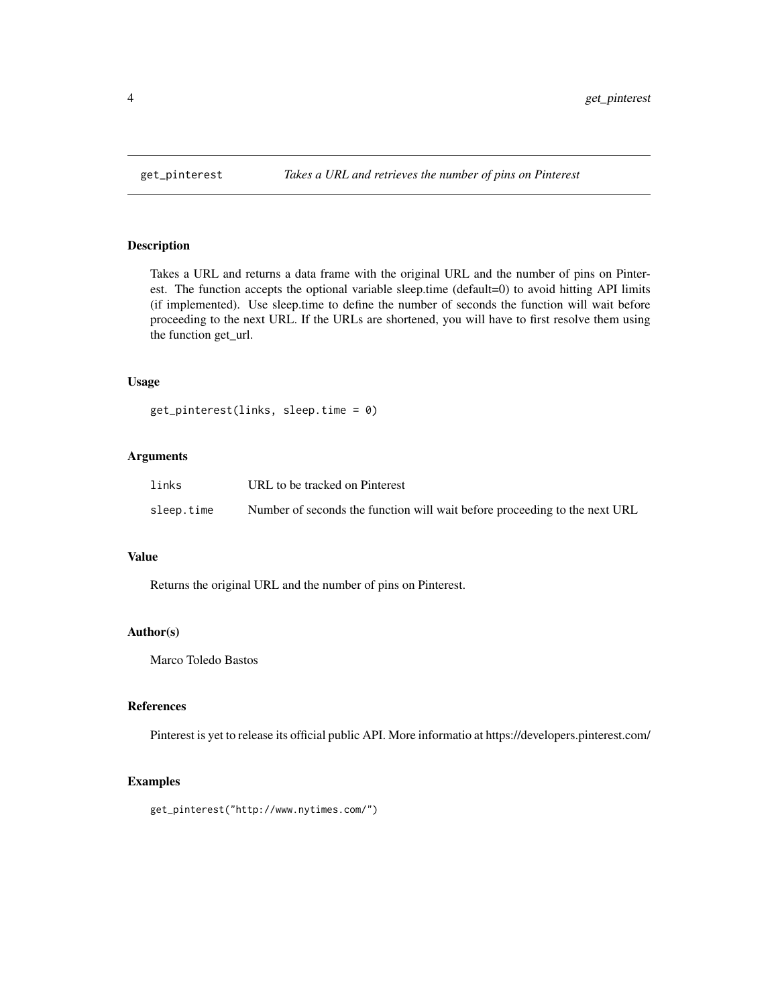<span id="page-3-0"></span>

Takes a URL and returns a data frame with the original URL and the number of pins on Pinterest. The function accepts the optional variable sleep.time (default=0) to avoid hitting API limits (if implemented). Use sleep.time to define the number of seconds the function will wait before proceeding to the next URL. If the URLs are shortened, you will have to first resolve them using the function get\_url.

# Usage

```
get_pinterest(links, sleep.time = 0)
```
# Arguments

| links      | URL to be tracked on Pinterest                                             |
|------------|----------------------------------------------------------------------------|
| sleep.time | Number of seconds the function will wait before proceeding to the next URL |

#### Value

Returns the original URL and the number of pins on Pinterest.

#### Author(s)

Marco Toledo Bastos

# References

Pinterest is yet to release its official public API. More informatio at https://developers.pinterest.com/

# Examples

get\_pinterest("http://www.nytimes.com/")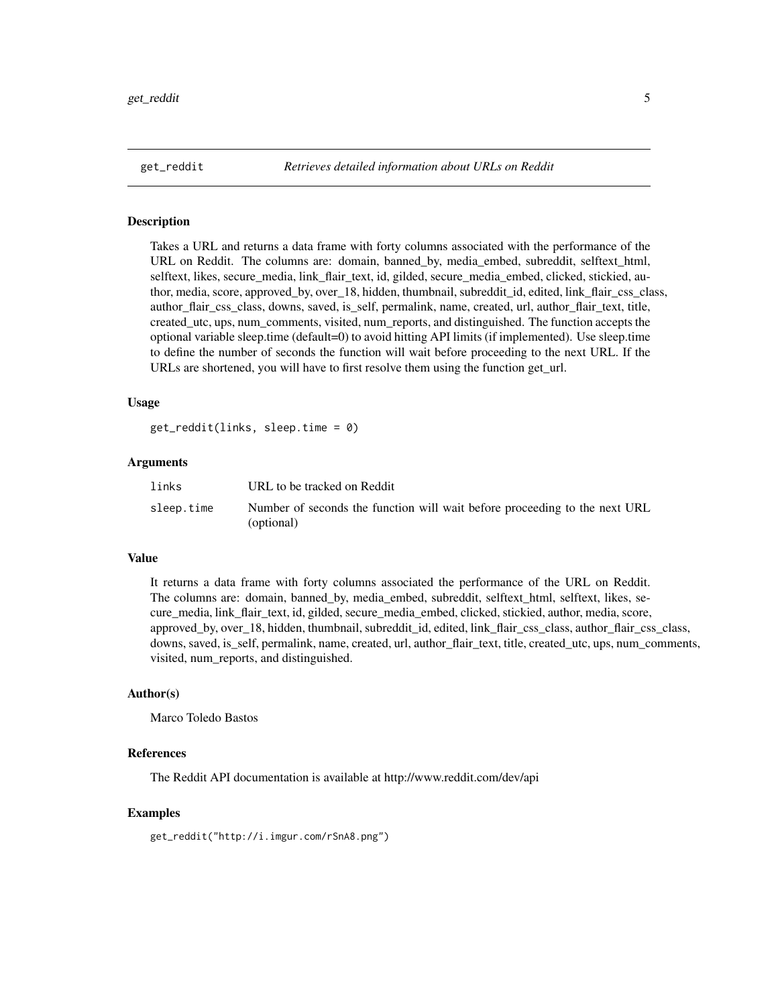<span id="page-4-0"></span>

Takes a URL and returns a data frame with forty columns associated with the performance of the URL on Reddit. The columns are: domain, banned\_by, media\_embed, subreddit, selftext\_html, selftext, likes, secure\_media, link\_flair\_text, id, gilded, secure\_media\_embed, clicked, stickied, author, media, score, approved\_by, over\_18, hidden, thumbnail, subreddit\_id, edited, link\_flair\_css\_class, author\_flair\_css\_class, downs, saved, is\_self, permalink, name, created, url, author\_flair\_text, title, created\_utc, ups, num\_comments, visited, num\_reports, and distinguished. The function accepts the optional variable sleep.time (default=0) to avoid hitting API limits (if implemented). Use sleep.time to define the number of seconds the function will wait before proceeding to the next URL. If the URLs are shortened, you will have to first resolve them using the function get\_url.

#### Usage

get\_reddit(links, sleep.time = 0)

#### Arguments

| links      | URL to be tracked on Reddit                                                              |
|------------|------------------------------------------------------------------------------------------|
| sleep.time | Number of seconds the function will wait before proceeding to the next URL<br>(optional) |

# Value

It returns a data frame with forty columns associated the performance of the URL on Reddit. The columns are: domain, banned\_by, media\_embed, subreddit, selftext\_html, selftext, likes, secure\_media, link\_flair\_text, id, gilded, secure\_media\_embed, clicked, stickied, author, media, score, approved\_by, over\_18, hidden, thumbnail, subreddit\_id, edited, link\_flair\_css\_class, author\_flair\_css\_class, downs, saved, is\_self, permalink, name, created, url, author\_flair\_text, title, created\_utc, ups, num\_comments, visited, num\_reports, and distinguished.

#### Author(s)

Marco Toledo Bastos

#### References

The Reddit API documentation is available at http://www.reddit.com/dev/api

#### Examples

get\_reddit("http://i.imgur.com/rSnA8.png")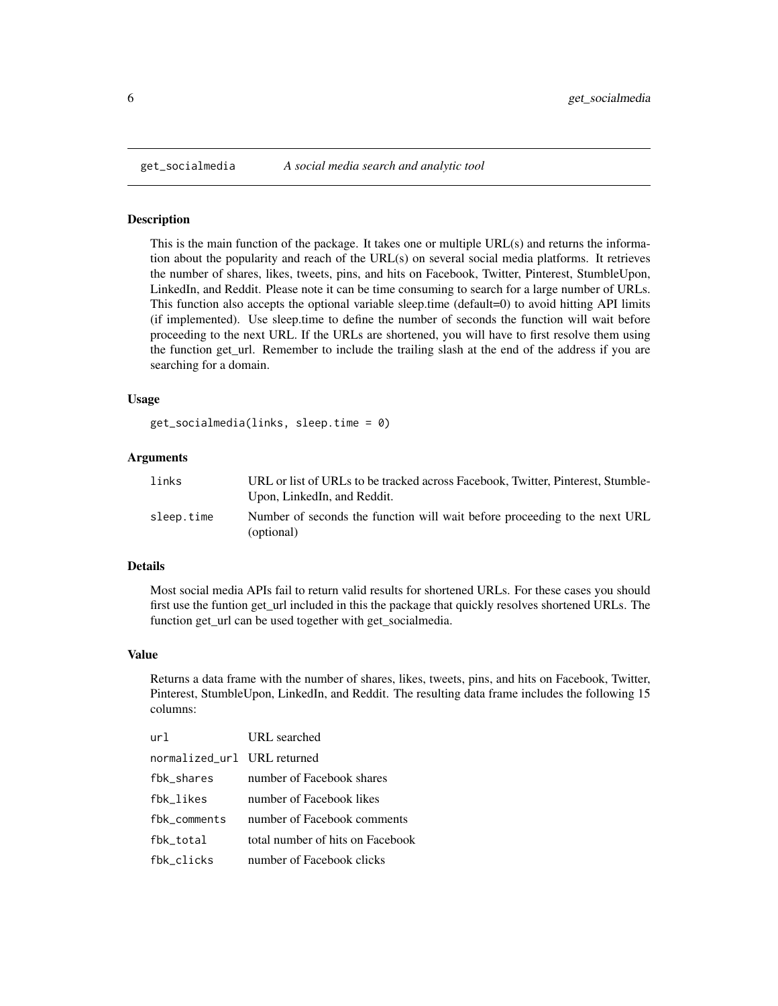<span id="page-5-0"></span>

This is the main function of the package. It takes one or multiple URL(s) and returns the information about the popularity and reach of the URL(s) on several social media platforms. It retrieves the number of shares, likes, tweets, pins, and hits on Facebook, Twitter, Pinterest, StumbleUpon, LinkedIn, and Reddit. Please note it can be time consuming to search for a large number of URLs. This function also accepts the optional variable sleep.time (default=0) to avoid hitting API limits (if implemented). Use sleep.time to define the number of seconds the function will wait before proceeding to the next URL. If the URLs are shortened, you will have to first resolve them using the function get\_url. Remember to include the trailing slash at the end of the address if you are searching for a domain.

#### Usage

```
get_socialmedia(links, sleep.time = 0)
```
#### **Arguments**

| links      | URL or list of URLs to be tracked across Facebook, Twitter, Pinterest, Stumble-<br>Upon, LinkedIn, and Reddit. |
|------------|----------------------------------------------------------------------------------------------------------------|
| sleep.time | Number of seconds the function will wait before proceeding to the next URL<br>(optional)                       |

#### Details

Most social media APIs fail to return valid results for shortened URLs. For these cases you should first use the funtion get\_url included in this the package that quickly resolves shortened URLs. The function get\_url can be used together with get\_socialmedia.

#### Value

Returns a data frame with the number of shares, likes, tweets, pins, and hits on Facebook, Twitter, Pinterest, StumbleUpon, LinkedIn, and Reddit. The resulting data frame includes the following 15 columns:

| ur1.                        | URL searched                     |
|-----------------------------|----------------------------------|
| normalized_url URL returned |                                  |
| fbk_shares                  | number of Facebook shares        |
| fbk likes                   | number of Facebook likes         |
| fbk comments                | number of Facebook comments      |
| fbk_total                   | total number of hits on Facebook |
| fbk_clicks                  | number of Facebook clicks        |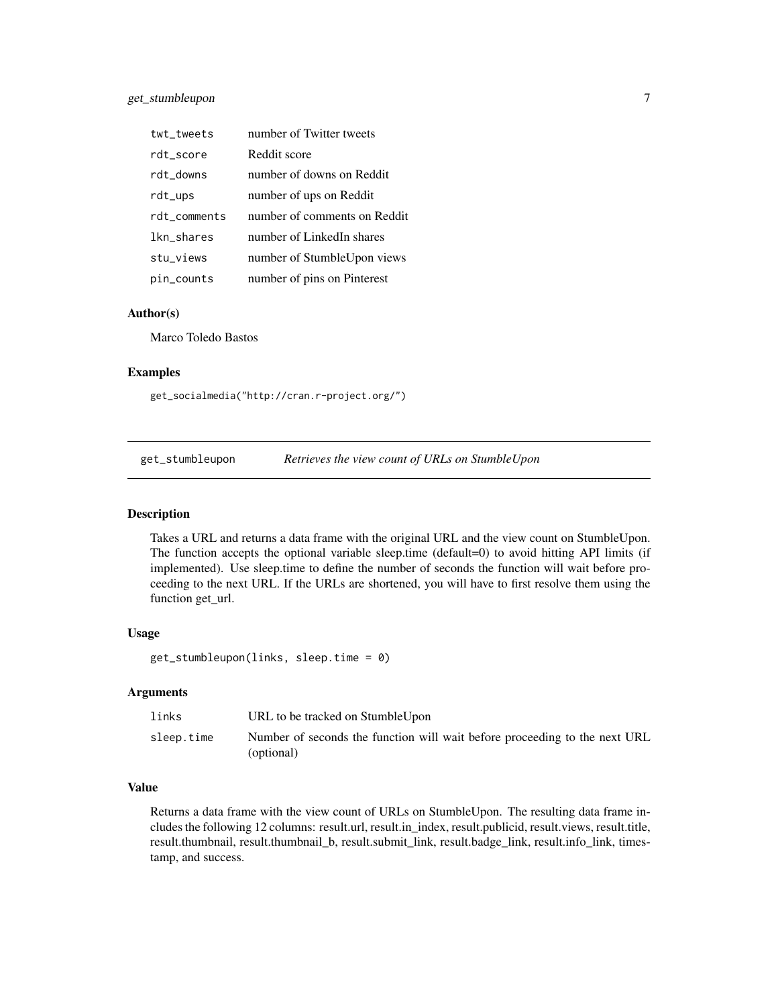<span id="page-6-0"></span>

| twt_tweets   | number of Twitter tweets     |
|--------------|------------------------------|
| rdt_score    | Reddit score                 |
| rdt_downs    | number of downs on Reddit    |
| rdt_ups      | number of ups on Reddit      |
| rdt_comments | number of comments on Reddit |
| lkn_shares   | number of LinkedIn shares    |
| stu_views    | number of StumbleUpon views  |
| pin_counts   | number of pins on Pinterest  |

#### Author(s)

Marco Toledo Bastos

#### Examples

get\_socialmedia("http://cran.r-project.org/")

get\_stumbleupon *Retrieves the view count of URLs on StumbleUpon*

#### Description

Takes a URL and returns a data frame with the original URL and the view count on StumbleUpon. The function accepts the optional variable sleep.time (default=0) to avoid hitting API limits (if implemented). Use sleep.time to define the number of seconds the function will wait before proceeding to the next URL. If the URLs are shortened, you will have to first resolve them using the function get\_url.

#### Usage

get\_stumbleupon(links, sleep.time = 0)

# Arguments

| links      | URL to be tracked on Stumble Upon                                                        |
|------------|------------------------------------------------------------------------------------------|
| sleep.time | Number of seconds the function will wait before proceeding to the next URL<br>(optional) |

#### Value

Returns a data frame with the view count of URLs on StumbleUpon. The resulting data frame includes the following 12 columns: result.url, result.in\_index, result.publicid, result.views, result.title, result.thumbnail, result.thumbnail\_b, result.submit\_link, result.badge\_link, result.info\_link, timestamp, and success.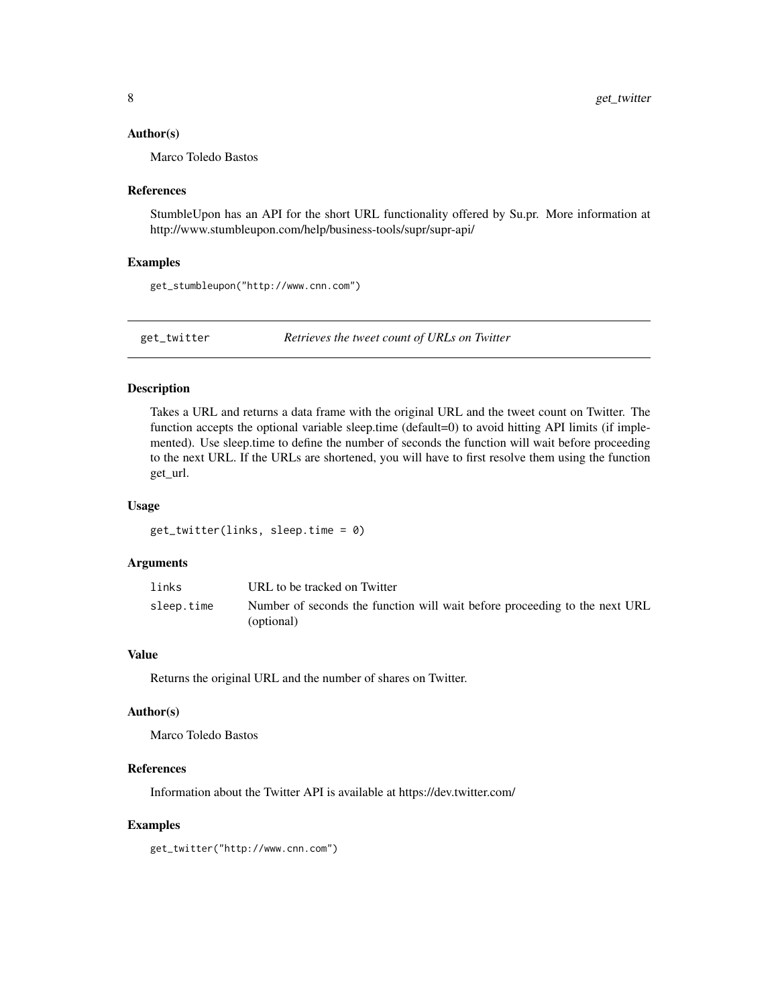#### <span id="page-7-0"></span>Author(s)

Marco Toledo Bastos

#### References

StumbleUpon has an API for the short URL functionality offered by Su.pr. More information at http://www.stumbleupon.com/help/business-tools/supr/supr-api/

#### Examples

get\_stumbleupon("http://www.cnn.com")

get\_twitter *Retrieves the tweet count of URLs on Twitter*

#### Description

Takes a URL and returns a data frame with the original URL and the tweet count on Twitter. The function accepts the optional variable sleep.time (default=0) to avoid hitting API limits (if implemented). Use sleep.time to define the number of seconds the function will wait before proceeding to the next URL. If the URLs are shortened, you will have to first resolve them using the function get\_url.

#### Usage

get\_twitter(links, sleep.time = 0)

#### Arguments

| links      | URL to be tracked on Twitter                                                             |
|------------|------------------------------------------------------------------------------------------|
| sleep.time | Number of seconds the function will wait before proceeding to the next URL<br>(optional) |

#### Value

Returns the original URL and the number of shares on Twitter.

# Author(s)

Marco Toledo Bastos

#### References

Information about the Twitter API is available at https://dev.twitter.com/

#### Examples

get\_twitter("http://www.cnn.com")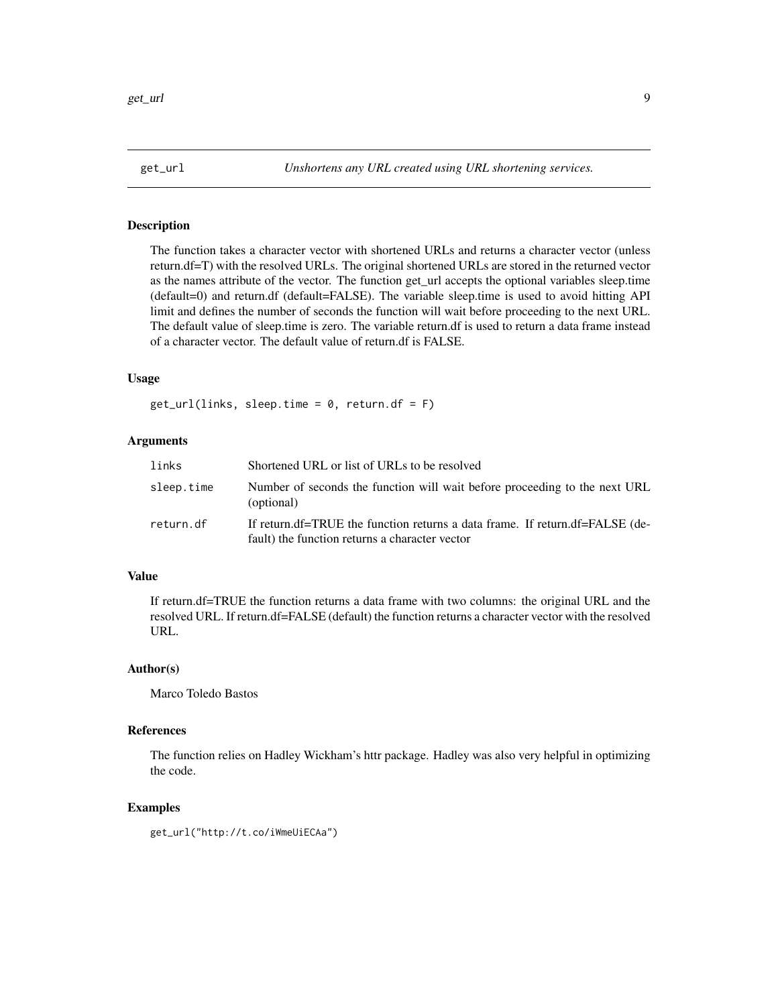<span id="page-8-0"></span>

The function takes a character vector with shortened URLs and returns a character vector (unless return.df=T) with the resolved URLs. The original shortened URLs are stored in the returned vector as the names attribute of the vector. The function get url accepts the optional variables sleep.time (default=0) and return.df (default=FALSE). The variable sleep.time is used to avoid hitting API limit and defines the number of seconds the function will wait before proceeding to the next URL. The default value of sleep.time is zero. The variable return.df is used to return a data frame instead of a character vector. The default value of return.df is FALSE.

#### Usage

 $get\_url(links, sleep.time = 0, return.df = F)$ 

# Arguments

| links      | Shortened URL or list of URLs to be resolved                                                                                   |
|------------|--------------------------------------------------------------------------------------------------------------------------------|
| sleep.time | Number of seconds the function will wait before proceeding to the next URL<br>(optional)                                       |
| return.df  | If return.df=TRUE the function returns a data frame. If return.df=FALSE (de-<br>fault) the function returns a character vector |

#### Value

If return.df=TRUE the function returns a data frame with two columns: the original URL and the resolved URL. If return.df=FALSE (default) the function returns a character vector with the resolved URL.

#### Author(s)

Marco Toledo Bastos

#### References

The function relies on Hadley Wickham's httr package. Hadley was also very helpful in optimizing the code.

#### Examples

get\_url("http://t.co/iWmeUiECAa")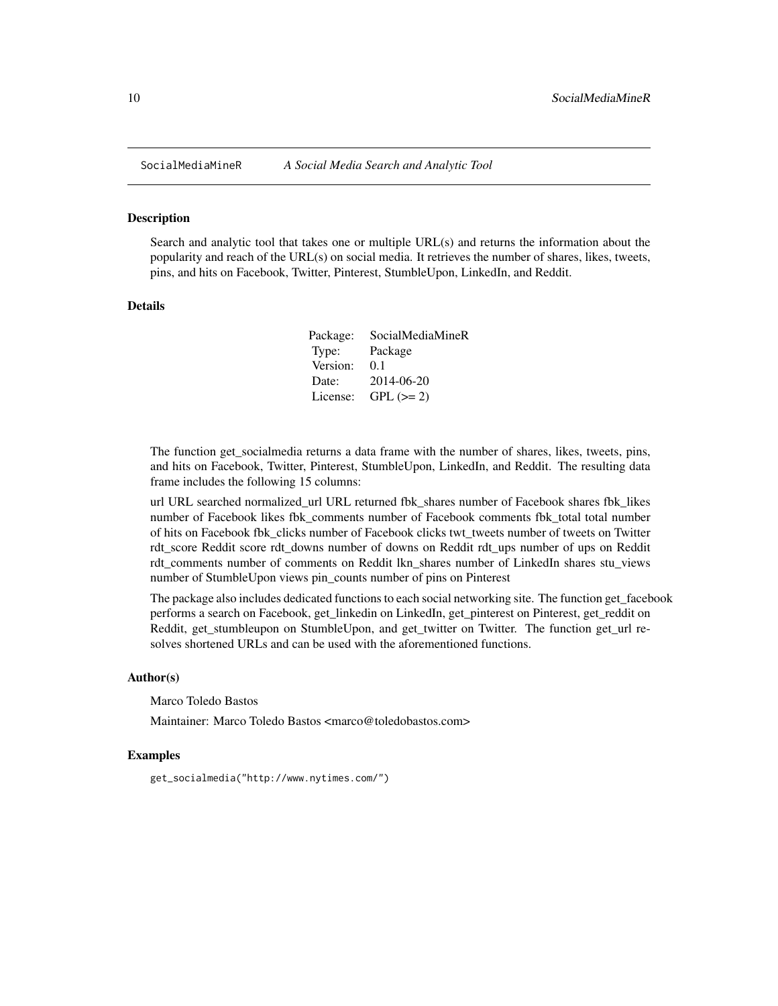<span id="page-9-0"></span>

Search and analytic tool that takes one or multiple URL(s) and returns the information about the popularity and reach of the URL(s) on social media. It retrieves the number of shares, likes, tweets, pins, and hits on Facebook, Twitter, Pinterest, StumbleUpon, LinkedIn, and Reddit.

#### Details

| Package: | SocialMediaMineR |
|----------|------------------|
| Type:    | Package          |
| Version: | 0.1              |
| Date:    | 2014-06-20       |
| License: | $GPL (=2)$       |

The function get\_socialmedia returns a data frame with the number of shares, likes, tweets, pins, and hits on Facebook, Twitter, Pinterest, StumbleUpon, LinkedIn, and Reddit. The resulting data frame includes the following 15 columns:

url URL searched normalized\_url URL returned fbk\_shares number of Facebook shares fbk\_likes number of Facebook likes fbk\_comments number of Facebook comments fbk\_total total number of hits on Facebook fbk\_clicks number of Facebook clicks twt\_tweets number of tweets on Twitter rdt\_score Reddit score rdt\_downs number of downs on Reddit rdt\_ups number of ups on Reddit rdt comments number of comments on Reddit lkn shares number of LinkedIn shares stu views number of StumbleUpon views pin\_counts number of pins on Pinterest

The package also includes dedicated functions to each social networking site. The function get\_facebook performs a search on Facebook, get\_linkedin on LinkedIn, get\_pinterest on Pinterest, get\_reddit on Reddit, get\_stumbleupon on StumbleUpon, and get\_twitter on Twitter. The function get\_url resolves shortened URLs and can be used with the aforementioned functions.

#### Author(s)

Marco Toledo Bastos

Maintainer: Marco Toledo Bastos <marco@toledobastos.com>

#### Examples

get\_socialmedia("http://www.nytimes.com/")